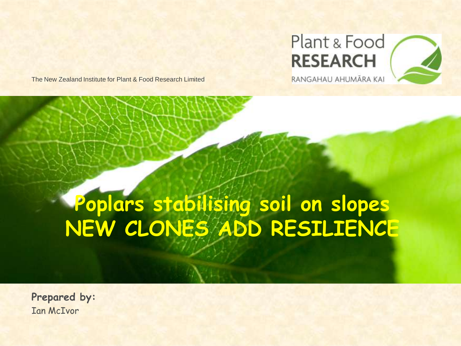

The New Zealand Institute for Plant & Food Research Limited

# **Poplars stabilising soil on slopes NEW CLONES ADD RESILIENCE**

**Prepared by:** Ian McIvor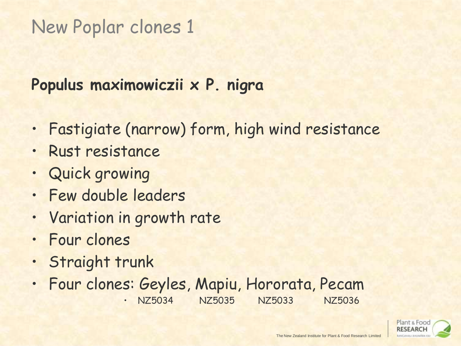# New Poplar clones 1

### **Populus maximowiczii x P. nigra**

- Fastigiate (narrow) form, high wind resistance
- Rust resistance
- Quick growing
- Few double leaders
- Variation in growth rate
- Four clones
- Straight trunk
- Four clones: Geyles, Mapiu, Hororata, Pecam • NZ5034 NZ5035 NZ5033 NZ5036

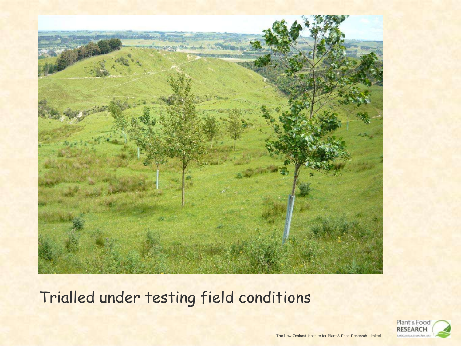

Trialled under testing field conditions

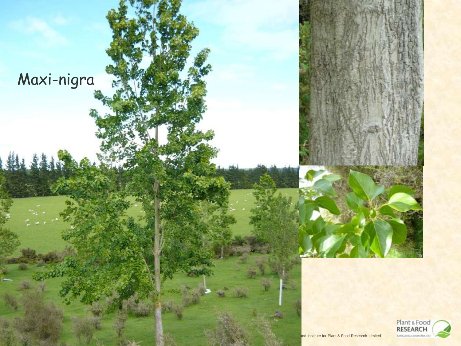Maxi-nigra

10 S

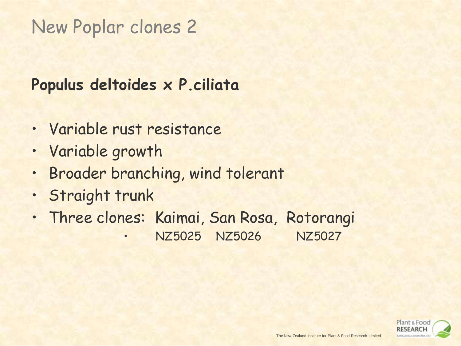# New Poplar clones 2

### **Populus deltoides x P.ciliata**

- Variable rust resistance
- Variable growth
- Broader branching, wind tolerant
- Straight trunk
- Three clones: Kaimai, San Rosa, Rotorangi
	- NZ5025 NZ5026 NZ5027

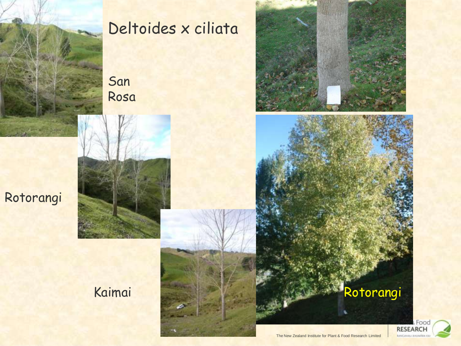

## Deltoides x ciliata

San Rosa





### Kaimai Kaimai Rotorangi

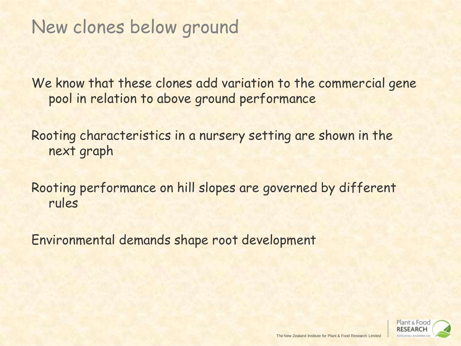# New clones below ground

We know that these clones add variation to the commercial gene pool in relation to above ground performance

Rooting characteristics in a nursery setting are shown in the next graph

Rooting performance on hill slopes are governed by different rules

Environmental demands shape root development

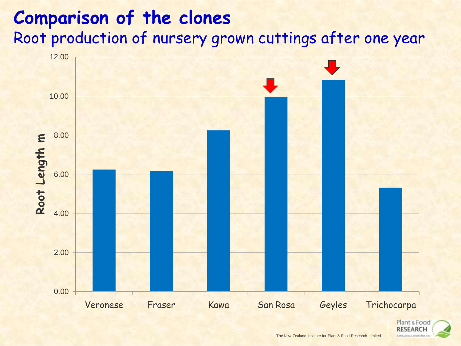### **Comparison of the clones**  Root production of nursery grown cuttings after one year



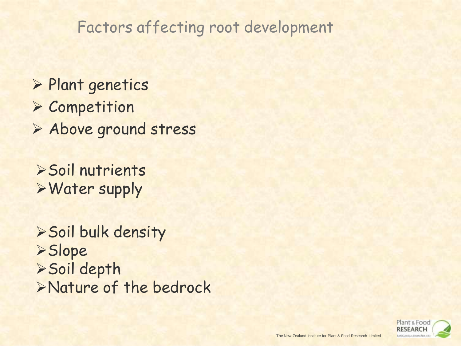### Factors affecting root development

- **> Plant genetics**
- **> Competition**
- Above ground stress
- Soil nutrients Water supply
- Soil bulk density Slope Soil depth Nature of the bedrock

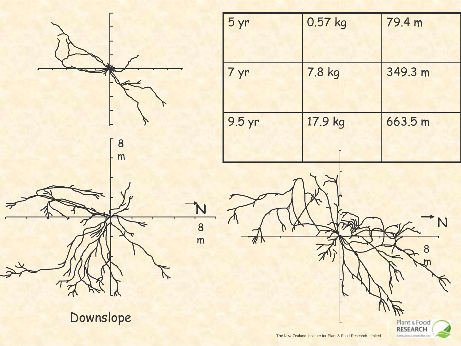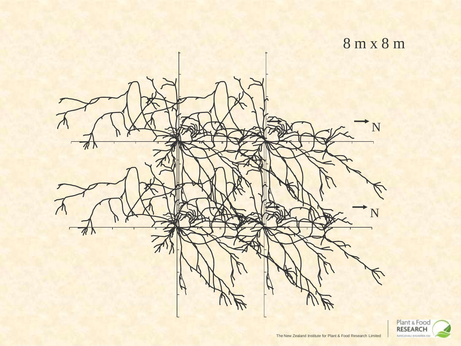

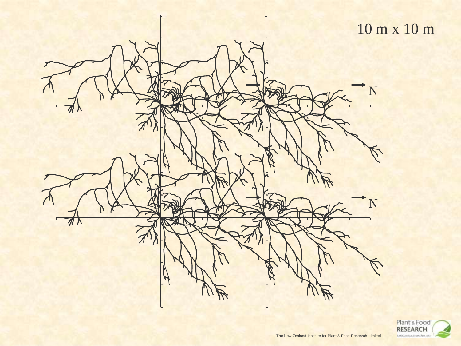

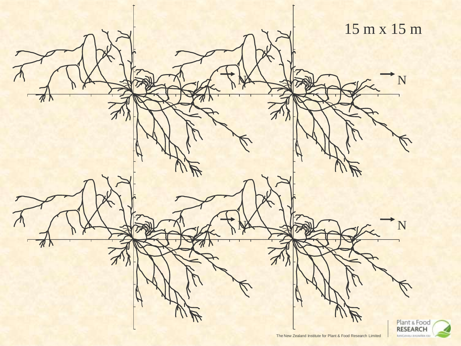